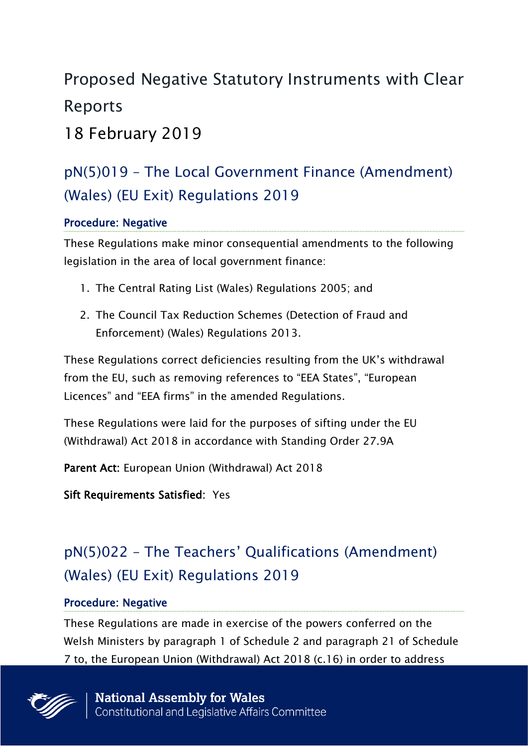# Proposed Negative Statutory Instruments with Clear Reports

18 February 2019

## pN(5)019 – The Local Government Finance (Amendment) (Wales) (EU Exit) Regulations 2019

### Procedure: Negative

These Regulations make minor consequential amendments to the following legislation in the area of local government finance:

- 1. The Central Rating List (Wales) Regulations 2005; and
- 2. The Council Tax Reduction Schemes (Detection of Fraud and Enforcement) (Wales) Regulations 2013.

These Regulations correct deficiencies resulting from the UK's withdrawal from the EU, such as removing references to "EEA States", "European Licences" and "EEA firms" in the amended Regulations.

These Regulations were laid for the purposes of sifting under the EU (Withdrawal) Act 2018 in accordance with Standing Order 27.9A

Parent Act: European Union (Withdrawal) Act 2018

Sift Requirements Satisfied: Yes

# pN(5)022 – The Teachers' Qualifications (Amendment) (Wales) (EU Exit) Regulations 2019

#### Procedure: Negative

These Regulations are made in exercise of the powers conferred on the Welsh Ministers by paragraph 1 of Schedule 2 and paragraph 21 of Schedule 7 to, the European Union (Withdrawal) Act 2018 (c.16) in order to address

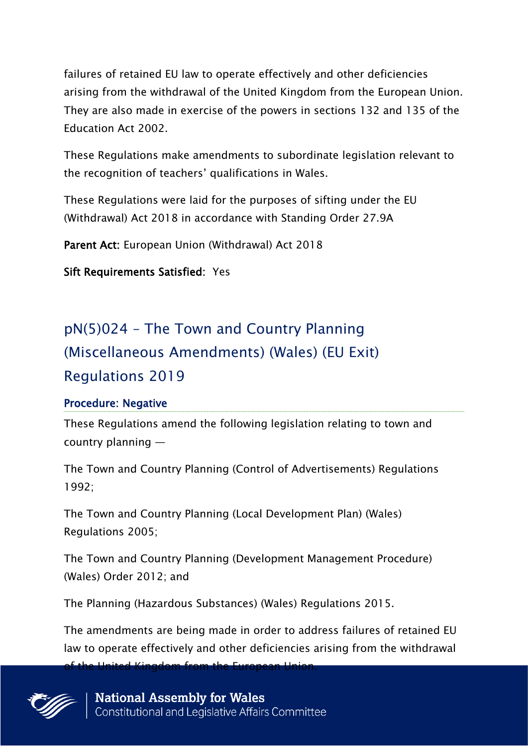failures of retained EU law to operate effectively and other deficiencies arising from the withdrawal of the United Kingdom from the European Union. They are also made in exercise of the powers in sections 132 and 135 of the Education Act 2002.

These Regulations make amendments to subordinate legislation relevant to the recognition of teachers' qualifications in Wales.

These Regulations were laid for the purposes of sifting under the EU (Withdrawal) Act 2018 in accordance with Standing Order 27.9A

Parent Act: European Union (Withdrawal) Act 2018

Sift Requirements Satisfied: Yes

# pN(5)024 – The Town and Country Planning (Miscellaneous Amendments) (Wales) (EU Exit) Regulations 2019

#### Procedure: Negative

These Regulations amend the following legislation relating to town and country planning —

The Town and Country Planning (Control of Advertisements) Regulations 1992;

The Town and Country Planning (Local Development Plan) (Wales) Regulations 2005;

The Town and Country Planning (Development Management Procedure) (Wales) Order 2012; and

The Planning (Hazardous Substances) (Wales) Regulations 2015.

The amendments are being made in order to address failures of retained EU law to operate effectively and other deficiencies arising from the withdrawal

of the United Kingdom from the European Union.

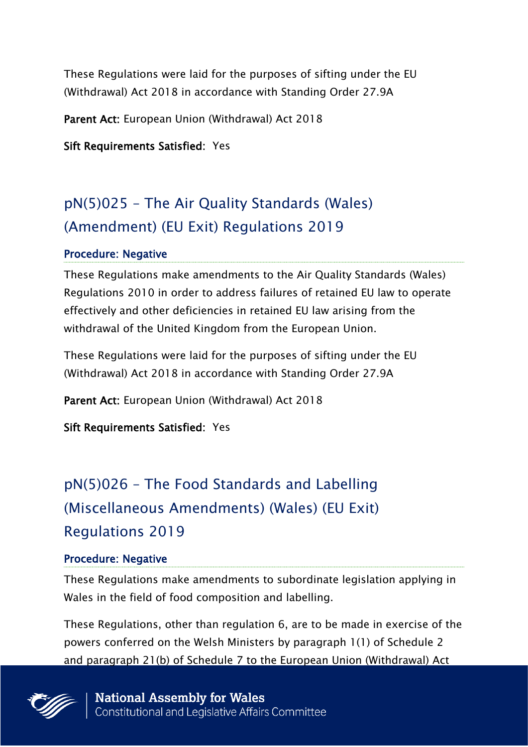These Regulations were laid for the purposes of sifting under the EU (Withdrawal) Act 2018 in accordance with Standing Order 27.9A

Parent Act: European Union (Withdrawal) Act 2018

Sift Requirements Satisfied: Yes

### pN(5)025 – The Air Quality Standards (Wales) (Amendment) (EU Exit) Regulations 2019

#### Procedure: Negative

These Regulations make amendments to the Air Quality Standards (Wales) Regulations 2010 in order to address failures of retained EU law to operate effectively and other deficiencies in retained EU law arising from the withdrawal of the United Kingdom from the European Union.

These Regulations were laid for the purposes of sifting under the EU (Withdrawal) Act 2018 in accordance with Standing Order 27.9A

Parent Act: European Union (Withdrawal) Act 2018

Sift Requirements Satisfied: Yes

# pN(5)026 – The Food Standards and Labelling (Miscellaneous Amendments) (Wales) (EU Exit) Regulations 2019

#### Procedure: Negative

These Regulations make amendments to subordinate legislation applying in Wales in the field of food composition and labelling.

These Regulations, other than regulation 6, are to be made in exercise of the powers conferred on the Welsh Ministers by paragraph 1(1) of Schedule 2 and paragraph 21(b) of Schedule 7 to the European Union (Withdrawal) Act

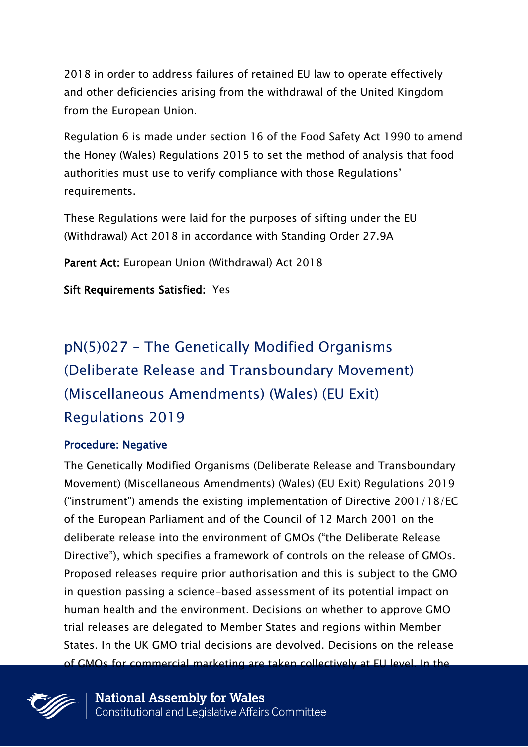2018 in order to address failures of retained EU law to operate effectively and other deficiencies arising from the withdrawal of the United Kingdom from the European Union.

Regulation 6 is made under section 16 of the Food Safety Act 1990 to amend the Honey (Wales) Regulations 2015 to set the method of analysis that food authorities must use to verify compliance with those Regulations' requirements.

These Regulations were laid for the purposes of sifting under the EU (Withdrawal) Act 2018 in accordance with Standing Order 27.9A

Parent Act: European Union (Withdrawal) Act 2018

#### Sift Requirements Satisfied: Yes

# pN(5)027 – The Genetically Modified Organisms (Deliberate Release and Transboundary Movement) (Miscellaneous Amendments) (Wales) (EU Exit) Regulations 2019

#### Procedure: Negative

The Genetically Modified Organisms (Deliberate Release and Transboundary Movement) (Miscellaneous Amendments) (Wales) (EU Exit) Regulations 2019 ("instrument") amends the existing implementation of Directive 2001/18/EC of the European Parliament and of the Council of 12 March 2001 on the deliberate release into the environment of GMOs ("the Deliberate Release Directive"), which specifies a framework of controls on the release of GMOs. Proposed releases require prior authorisation and this is subject to the GMO in question passing a science-based assessment of its potential impact on human health and the environment. Decisions on whether to approve GMO trial releases are delegated to Member States and regions within Member States. In the UK GMO trial decisions are devolved. Decisions on the release of GMOs for commercial marketing are taken collectively at EU level. In the

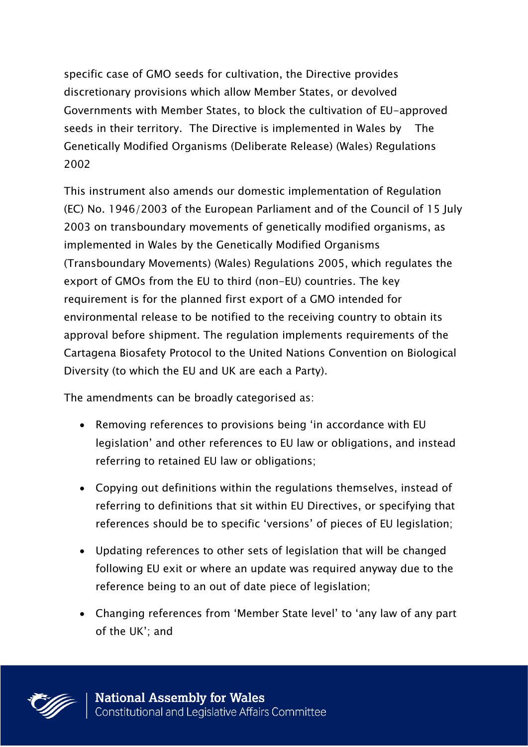specific case of GMO seeds for cultivation, the Directive provides discretionary provisions which allow Member States, or devolved Governments with Member States, to block the cultivation of EU-approved seeds in their territory. The Directive is implemented in Wales by The Genetically Modified Organisms (Deliberate Release) (Wales) Regulations 2002

This instrument also amends our domestic implementation of Regulation (EC) No. 1946/2003 of the European Parliament and of the Council of 15 July 2003 on transboundary movements of genetically modified organisms, as implemented in Wales by the Genetically Modified Organisms (Transboundary Movements) (Wales) Regulations 2005, which regulates the export of GMOs from the EU to third (non-EU) countries. The key requirement is for the planned first export of a GMO intended for environmental release to be notified to the receiving country to obtain its approval before shipment. The regulation implements requirements of the Cartagena Biosafety Protocol to the United Nations Convention on Biological Diversity (to which the EU and UK are each a Party).

The amendments can be broadly categorised as:

- Removing references to provisions being 'in accordance with EU legislation' and other references to EU law or obligations, and instead referring to retained EU law or obligations;
- Copying out definitions within the regulations themselves, instead of referring to definitions that sit within EU Directives, or specifying that references should be to specific 'versions' of pieces of EU legislation;
- Updating references to other sets of legislation that will be changed following EU exit or where an update was required anyway due to the reference being to an out of date piece of legislation;
- Changing references from 'Member State level' to 'any law of any part of the UK'; and

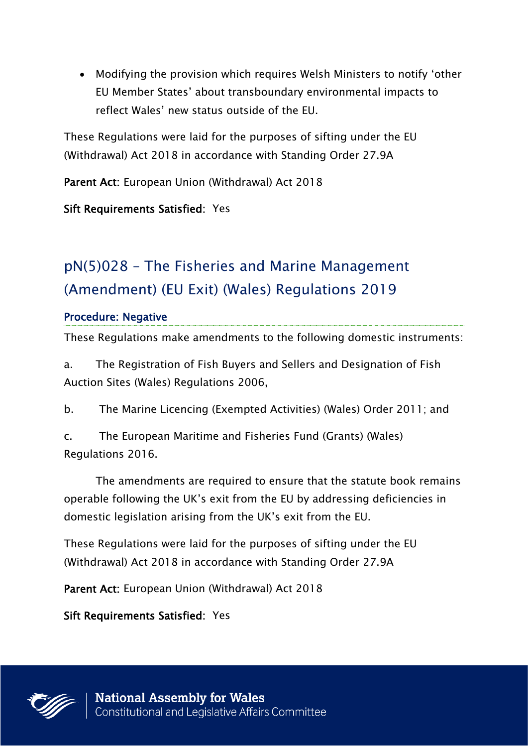Modifying the provision which requires Welsh Ministers to notify 'other EU Member States' about transboundary environmental impacts to reflect Wales' new status outside of the EU.

These Regulations were laid for the purposes of sifting under the EU (Withdrawal) Act 2018 in accordance with Standing Order 27.9A

Parent Act: European Union (Withdrawal) Act 2018

Sift Requirements Satisfied: Yes

# pN(5)028 – The Fisheries and Marine Management (Amendment) (EU Exit) (Wales) Regulations 2019

### Procedure: Negative

These Regulations make amendments to the following domestic instruments:

a. The Registration of Fish Buyers and Sellers and Designation of Fish Auction Sites (Wales) Regulations 2006,

b. The Marine Licencing (Exempted Activities) (Wales) Order 2011; and

c. The European Maritime and Fisheries Fund (Grants) (Wales) Regulations 2016.

The amendments are required to ensure that the statute book remains operable following the UK's exit from the EU by addressing deficiencies in domestic legislation arising from the UK's exit from the EU.

These Regulations were laid for the purposes of sifting under the EU (Withdrawal) Act 2018 in accordance with Standing Order 27.9A

Parent Act: European Union (Withdrawal) Act 2018

Sift Requirements Satisfied: Yes